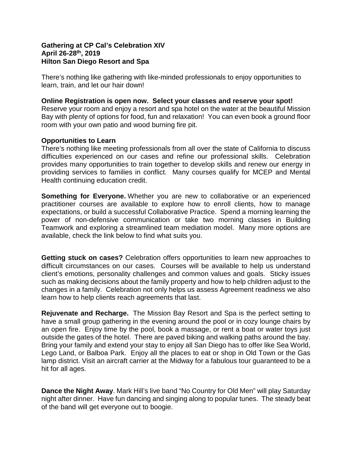## **Gathering at CP Cal's Celebration XIV April 26-28th, 2019 Hilton San Diego Resort and Spa**

There's nothing like gathering with like-minded professionals to enjoy opportunities to learn, train, and let our hair down!

## **Online Registration is open now. Select your classes and reserve your spot!**

Reserve your room and enjoy a resort and spa hotel on the water at the beautiful Mission Bay with plenty of options for food, fun and relaxation! You can even book a ground floor room with your own patio and wood burning fire pit.

## **Opportunities to Learn**

There's nothing like meeting professionals from all over the state of California to discuss difficulties experienced on our cases and refine our professional skills. Celebration provides many opportunities to train together to develop skills and renew our energy in providing services to families in conflict. Many courses qualify for MCEP and Mental Health continuing education credit.

**Something for Everyone.** Whether you are new to collaborative or an experienced practitioner courses are available to explore how to enroll clients, how to manage expectations, or build a successful Collaborative Practice. Spend a morning learning the power of non-defensive communication or take two morning classes in Building Teamwork and exploring a streamlined team mediation model. Many more options are available, check the link below to find what suits you.

**Getting stuck on cases?** Celebration offers opportunities to learn new approaches to difficult circumstances on our cases. Courses will be available to help us understand client's emotions, personality challenges and common values and goals. Sticky issues such as making decisions about the family property and how to help children adjust to the changes in a family. Celebration not only helps us assess Agreement readiness we also learn how to help clients reach agreements that last.

**Rejuvenate and Recharge.** The Mission Bay Resort and Spa is the perfect setting to have a small group gathering in the evening around the pool or in cozy lounge chairs by an open fire. Enjoy time by the pool, book a massage, or rent a boat or water toys just outside the gates of the hotel. There are paved biking and walking paths around the bay. Bring your family and extend your stay to enjoy all San Diego has to offer like Sea World, Lego Land, or Balboa Park. Enjoy all the places to eat or shop in Old Town or the Gas lamp district. Visit an aircraft carrier at the Midway for a fabulous tour guaranteed to be a hit for all ages.

**Dance the Night Away**. Mark Hill's live band "No Country for Old Men" will play Saturday night after dinner. Have fun dancing and singing along to popular tunes. The steady beat of the band will get everyone out to boogie.